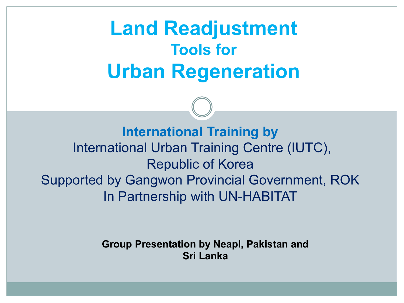## **Land Readjustment Tools for Urban Regeneration**

**International Training by** International Urban Training Centre (IUTC), Republic of Korea Supported by Gangwon Provincial Government, ROK In Partnership with UN-HABITAT

> **Group Presentation by Neapl, Pakistan and Sri Lanka**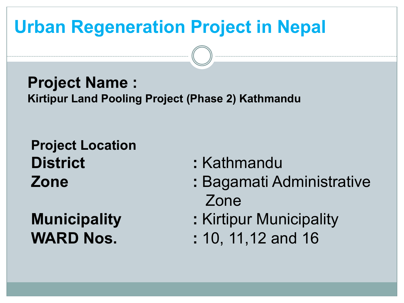### **Urban Regeneration Project in Nepal**

**Project Name : Kirtipur Land Pooling Project (Phase 2) Kathmandu**

**Project Location District :** Kathmandu

- 
- **Zone :** Bagamati Administrative Zone
- **Municipality : Kirtipur Municipality**
- **WARD Nos.** : 10, 11, 12 and 16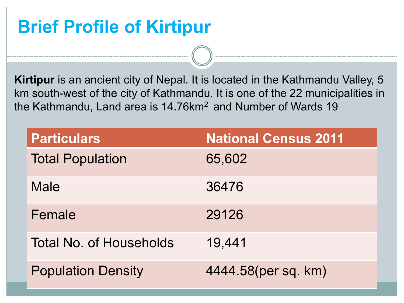#### **Brief Profile of Kirtipur**

**Kirtipur** is an ancient city of Nepal. It is located in the Kathmandu Valley, 5 km south-west of the city of Kathmandu. It is one of the 22 municipalities in the Kathmandu, Land area is 14.76km<sup>2</sup> and Number of Wards 19

| <b>Particulars</b>             | <b>National Census 2011</b> |
|--------------------------------|-----------------------------|
| <b>Total Population</b>        | 65,602                      |
| <b>Male</b>                    | 36476                       |
| Female                         | 29126                       |
| <b>Total No. of Households</b> | 19,441                      |
| <b>Population Density</b>      | 4444.58(per sq. km)         |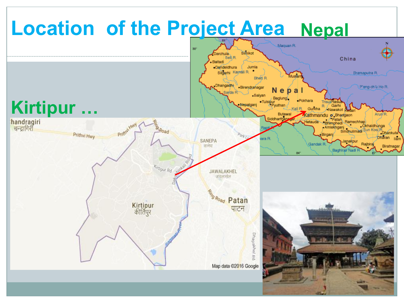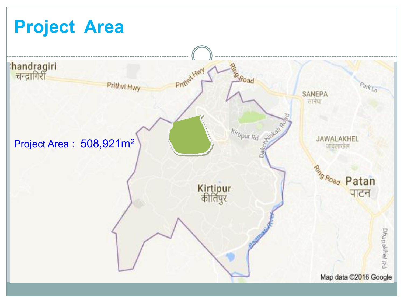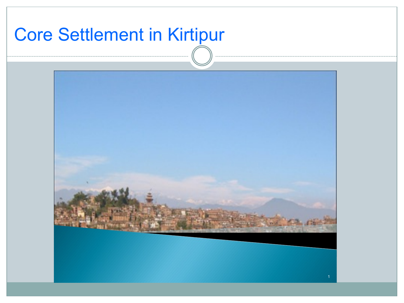## Core Settlement in Kirtipur

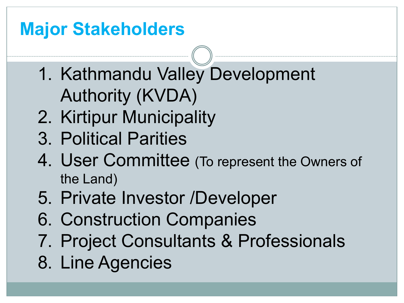## **Major Stakeholders**

- 1. Kathmandu Valley Development Authority (KVDA)
- 2. Kirtipur Municipality
- 3. Political Parities
- 4. User Committee (To represent the Owners of the Land)
- 5. Private Investor /Developer
- 6. Construction Companies
- 7. Project Consultants & Professionals
- 8. Line Agencies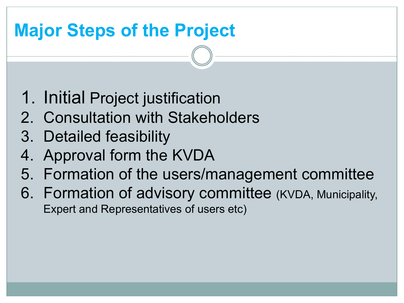## **Major Steps of the Project**

- 1. Initial Project justification
- 2. Consultation with Stakeholders
- 3. Detailed feasibility
- 4. Approval form the KVDA
- 5. Formation of the users/management committee
- 6. Formation of advisory committee (KVDA, Municipality, Expert and Representatives of users etc)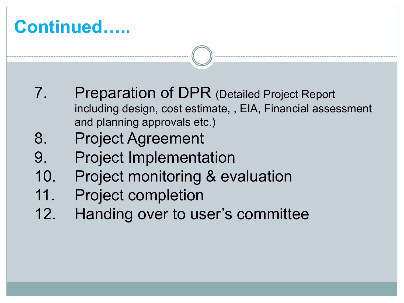#### **Continued…..**

- 7. Preparation of DPR (Detailed Project Report including design, cost estimate, , EIA, Financial assessment and planning approvals etc.)
- 8. Project Agreement
- 9. Project Implementation
- 10. Project monitoring & evaluation
- 11. Project completion
- 12. Handing over to user's committee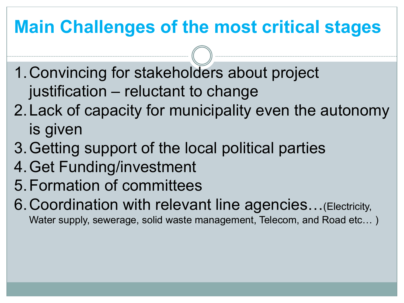## **Main Challenges of the most critical stages**

- 1.Convincing for stakeholders about project justification – reluctant to change
- 2.Lack of capacity for municipality even the autonomy is given
- 3.Getting support of the local political parties
- 4.Get Funding/investment
- 5.Formation of committees
- 6.Coordination with relevant line agencies…(Electricity, Water supply, sewerage, solid waste management, Telecom, and Road etc… )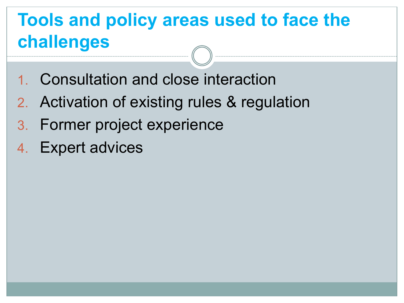### **Tools and policy areas used to face the challenges**

- 1. Consultation and close interaction
- 2. Activation of existing rules & regulation
- 3. Former project experience
- 4. Expert advices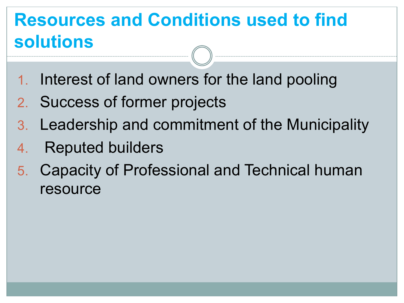### **Resources and Conditions used to find solutions**

- Interest of land owners for the land pooling
- 2. Success of former projects
- 3. Leadership and commitment of the Municipality
- 4. Reputed builders
- 5. Capacity of Professional and Technical human resource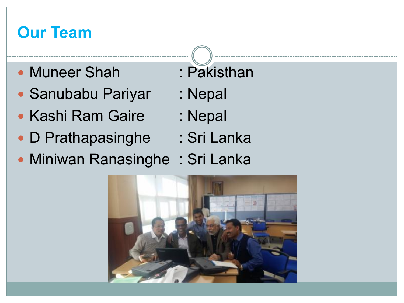#### **Our Team**

- Muneer Shah : Pakisthan
- Sanubabu Pariyar : Nepal
- Kashi Ram Gaire : Nepal
- D Prathapasinghe : Sri Lanka
- Miniwan Ranasinghe: Sri Lanka



- 
- 
-